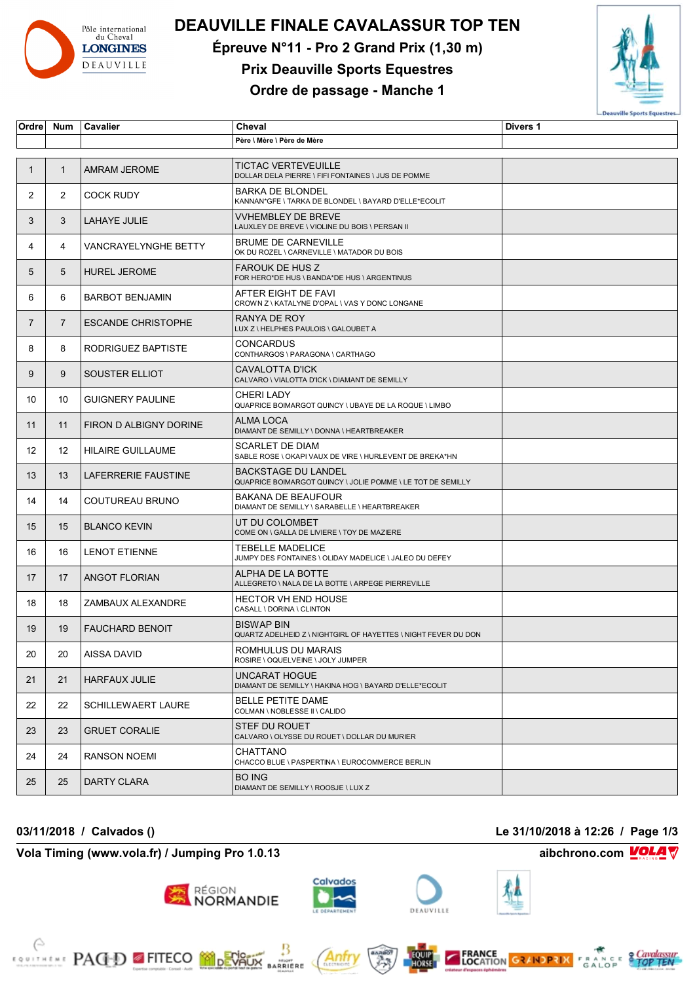

# **DEAUVILLE FINALE CAVALASSUR TOP TEN**

**Épreuve N°11 - Pro 2 Grand Prix (1,30 m)**

## **Prix Deauville Sports Equestres**

### **Ordre de passage - Manche 1**



| Ordre          | Num            | Cavalier                  | Cheval                                                                                    | Divers 1 |
|----------------|----------------|---------------------------|-------------------------------------------------------------------------------------------|----------|
|                |                |                           | Père \ Mère \ Père de Mère                                                                |          |
|                |                |                           |                                                                                           |          |
| 1              | $\mathbf{1}$   | <b>AMRAM JEROME</b>       | <b>TICTAC VERTEVEUILLE</b><br>DOLLAR DELA PIERRE \ FIFI FONTAINES \ JUS DE POMME          |          |
| $\overline{2}$ | $\overline{2}$ | <b>COCK RUDY</b>          | <b>BARKA DE BLONDEL</b><br>KANNAN*GFE \ TARKA DE BLONDEL \ BAYARD D'ELLE*ECOLIT           |          |
| 3              | 3              | LAHAYE JULIE              | <b>VVHEMBLEY DE BREVE</b><br>LAUXLEY DE BREVE \ VIOLINE DU BOIS \ PERSAN II               |          |
| 4              | 4              | VANCRAYELYNGHE BETTY      | <b>BRUME DE CARNEVILLE</b><br>OK DU ROZEL \ CARNEVILLE \ MATADOR DU BOIS                  |          |
| 5              | 5              | <b>HUREL JEROME</b>       | <b>FAROUK DE HUS Z</b><br>FOR HERO*DE HUS \ BANDA*DE HUS \ ARGENTINUS                     |          |
| 6              | 6              | <b>BARBOT BENJAMIN</b>    | AFTER EIGHT DE FAVI<br>CROWN Z \ KATALYNE D'OPAL \ VAS Y DONC LONGANE                     |          |
| $\overline{7}$ | $\overline{7}$ | <b>ESCANDE CHRISTOPHE</b> | RANYA DE ROY<br>LUX Z \ HELPHES PAULOIS \ GALOUBET A                                      |          |
| 8              | 8              | RODRIGUEZ BAPTISTE        | <b>CONCARDUS</b><br>CONTHARGOS \ PARAGONA \ CARTHAGO                                      |          |
| 9              | 9              | SOUSTER ELLIOT            | CAVALOTTA D'ICK<br>CALVARO \ VIALOTTA D'ICK \ DIAMANT DE SEMILLY                          |          |
| 10             | 10             | <b>GUIGNERY PAULINE</b>   | <b>CHERI LADY</b><br>QUAPRICE BOIMARGOT QUINCY \ UBAYE DE LA ROQUE \ LIMBO                |          |
| 11             | 11             | FIRON D ALBIGNY DORINE    | ALMA LOCA<br>DIAMANT DE SEMILLY \ DONNA \ HEARTBREAKER                                    |          |
| 12             | 12             | <b>HILAIRE GUILLAUME</b>  | <b>SCARLET DE DIAM</b><br>SABLE ROSE \ OKAPI VAUX DE VIRE \ HURLEVENT DE BREKA*HN         |          |
| 13             | 13             | LAFERRERIE FAUSTINE       | <b>BACKSTAGE DU LANDEL</b><br>QUAPRICE BOIMARGOT QUINCY \ JOLIE POMME \ LE TOT DE SEMILLY |          |
| 14             | 14             | COUTUREAU BRUNO           | BAKANA DE BEAUFOUR<br>DIAMANT DE SEMILLY \ SARABELLE \ HEARTBREAKER                       |          |
| 15             | 15             | <b>BLANCO KEVIN</b>       | UT DU COLOMBET<br>COME ON \ GALLA DE LIVIERE \ TOY DE MAZIERE                             |          |
| 16             | 16             | <b>LENOT ETIENNE</b>      | <b>TEBELLE MADELICE</b><br>JUMPY DES FONTAINES \ OLIDAY MADELICE \ JALEO DU DEFEY         |          |
| 17             | 17             | <b>ANGOT FLORIAN</b>      | ALPHA DE LA BOTTE<br>ALLEGRETO \ NALA DE LA BOTTE \ ARPEGE PIERREVILLE                    |          |
| 18             | 18             | ZAMBAUX ALEXANDRE         | <b>HECTOR VH END HOUSE</b><br>CASALL \ DORINA \ CLINTON                                   |          |
| 19             | 19             | <b>FAUCHARD BENOIT</b>    | <b>BISWAP BIN</b><br>QUARTZ ADELHEID Z \ NIGHTGIRL OF HAYETTES \ NIGHT FEVER DU DON       |          |
| 20             | 20             | AISSA DAVID               | ROMHULUS DU MARAIS<br>ROSIRE \ OQUELVEINE \ JOLY JUMPER                                   |          |
| 21             | 21             | <b>HARFAUX JULIE</b>      | UNCARAT HOGUE<br>DIAMANT DE SEMILLY \ HAKINA HOG \ BAYARD D'ELLE*ECOLIT                   |          |
| 22             | 22             | <b>SCHILLEWAERT LAURE</b> | <b>BELLE PETITE DAME</b><br>COLMAN \ NOBLESSE II \ CALIDO                                 |          |
| 23             | 23             | <b>GRUET CORALIE</b>      | STEF DU ROUET<br>CALVARO \ OLYSSE DU ROUET \ DOLLAR DU MURIER                             |          |
| 24             | 24             | <b>RANSON NOEMI</b>       | CHATTANO<br>CHACCO BLUE \ PASPERTINA \ EUROCOMMERCE BERLIN                                |          |
| 25             | 25             | DARTY CLARA               | <b>BO ING</b><br>DIAMANT DE SEMILLY \ ROOSJE \ LUX Z                                      |          |

**03/11/2018 / Calvados () Le 31/10/2018 à 12:26 / Page 1/3**

**Vola Timing (www.vola.fr) / Jumping Pro 1.0.13 aibchrono.com VOLA** 

**EXAMPLE PACED FITECO MODERATION** 

Calvados région<br>**NORMANDIE** 

Anfr

₿

**BARRIERE** 







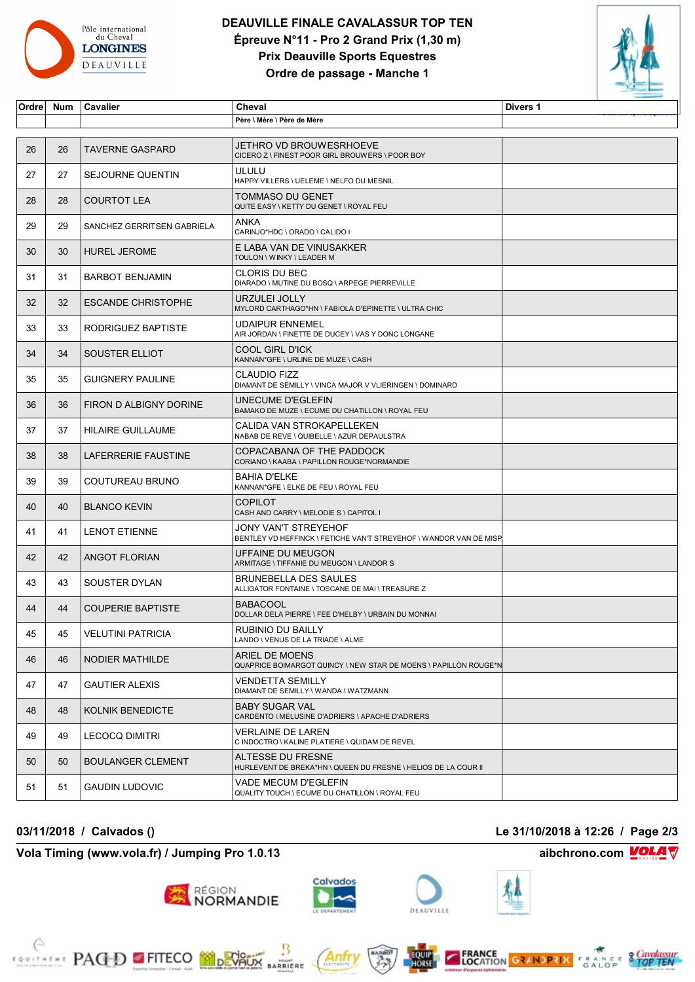

#### **DEAUVILLE FINALE CAVALASSUR TOP TEN Épreuve N°11 - Pro 2 Grand Prix (1,30 m) Prix Deauville Sports Equestres Ordre de passage - Manche 1**



| Ordre | Num | Cavalier                   | Cheval                                                                                     | Divers 1 |
|-------|-----|----------------------------|--------------------------------------------------------------------------------------------|----------|
|       |     |                            | Père \ Mère \ Père de Mère                                                                 |          |
|       |     |                            |                                                                                            |          |
| 26    | 26  | <b>TAVERNE GASPARD</b>     | JETHRO VD BROUWESRHOEVE<br>CICERO Z \ FINEST POOR GIRL BROUWERS \ POOR BOY                 |          |
| 27    | 27  | SEJOURNE QUENTIN           | ULULU<br>HAPPY VILLERS \ UELEME \ NELFO DU MESNIL                                          |          |
| 28    | 28  | <b>COURTOT LEA</b>         | TOMMASO DU GENET<br>QUITE EASY \ KETTY DU GENET \ ROYAL FEU                                |          |
| 29    | 29  | SANCHEZ GERRITSEN GABRIELA | ANKA<br>CARINJO*HDC \ ORADO \ CALIDO I                                                     |          |
| 30    | 30  | <b>HUREL JEROME</b>        | E LABA VAN DE VINUSAKKER<br>TOULON \ WINKY \ LEADER M                                      |          |
| 31    | 31  | <b>BARBOT BENJAMIN</b>     | <b>CLORIS DU BEC</b><br>DIARADO \ MUTINE DU BOSQ \ ARPEGE PIERREVILLE                      |          |
| 32    | 32  | <b>ESCANDE CHRISTOPHE</b>  | URZULEI JOLLY<br>MYLORD CARTHAGO*HN \ FABIOLA D'EPINETTE \ ULTRA CHIC                      |          |
| 33    | 33  | RODRIGUEZ BAPTISTE         | UDAIPUR ENNEMEL<br>AIR JORDAN \ FINETTE DE DUCEY \ VAS Y DONC LONGANE                      |          |
| 34    | 34  | SOUSTER ELLIOT             | COOL GIRL D'ICK<br>KANNAN*GFE \ URLINE DE MUZE \ CASH                                      |          |
| 35    | 35  | <b>GUIGNERY PAULINE</b>    | CLAUDIO FIZZ<br>DIAMANT DE SEMILLY \ VINCA MAJOR V VLIERINGEN \ DOMINARD                   |          |
| 36    | 36  | FIRON D ALBIGNY DORINE     | UNECUME D'EGLEFIN<br>BAMAKO DE MUZE \ ECUME DU CHATILLON \ ROYAL FEU                       |          |
| 37    | 37  | <b>HILAIRE GUILLAUME</b>   | CALIDA VAN STROKAPELLEKEN<br>NABAB DE REVE \ QUIBELLE \ AZUR DEPAULSTRA                    |          |
| 38    | 38  | LAFERRERIE FAUSTINE        | COPACABANA OF THE PADDOCK<br>CORIANO \ KAABA \ PAPILLON ROUGE*NORMANDIE                    |          |
| 39    | 39  | COUTUREAU BRUNO            | BAHIA D'ELKE<br>KANNAN*GFE \ ELKE DE FEU \ ROYAL FEU                                       |          |
| 40    | 40  | <b>BLANCO KEVIN</b>        | <b>COPILOT</b><br>CASH AND CARRY \ MELODIE S \ CAPITOL I                                   |          |
| 41    | 41  | <b>LENOT ETIENNE</b>       | JONY VAN'T STREYEHOF<br>BENTLEY VD HEFFINCK \ FETICHE VAN'T STREYEHOF \ WANDOR VAN DE MISP |          |
| 42    | 42  | <b>ANGOT FLORIAN</b>       | UFFAINE DU MEUGON<br>ARMITAGE \ TIFFANIE DU MEUGON \ LANDOR S                              |          |
| 43    | 43  | SOUSTER DYLAN              | <b>BRUNEBELLA DES SAULES</b><br>ALLIGATOR FONTAINE \ TOSCANE DE MAI \ TREASURE Z           |          |
| 44    | 44  | <b>COUPERIE BAPTISTE</b>   | <b>BABACOOL</b><br>DOLLAR DELA PIERRE \ FEE D'HELBY \ URBAIN DU MONNAI                     |          |
| 45    | 45  | <b>VELUTINI PATRICIA</b>   | RUBINIO DU BAILLY<br>LANDO \ VENUS DE LA TRIADE \ ALME                                     |          |
| 46    | 46  | NODIER MATHILDE            | ARIEL DE MOENS<br>QUAPRICE BOIMARGOT QUINCY \ NEW STAR DE MOENS \ PAPILLON ROUGE*N         |          |
| 47    | 47  | <b>GAUTIER ALEXIS</b>      | VENDETTA SEMILLY<br>DIAMANT DE SEMILLY \ WANDA \ WATZMANN                                  |          |
| 48    | 48  | <b>KOLNIK BENEDICTE</b>    | <b>BABY SUGAR VAL</b><br>CARDENTO \ MELUSINE D'ADRIERS \ APACHE D'ADRIERS                  |          |
| 49    | 49  | <b>LECOCQ DIMITRI</b>      | VERLAINE DE LAREN<br>C INDOCTRO \ KALINE PLATIERE \ QUIDAM DE REVEL                        |          |
| 50    | 50  | <b>BOULANGER CLEMENT</b>   | ALTESSE DU FRESNE<br>HURLEVENT DE BREKA*HN \ QUEEN DU FRESNE \ HELIOS DE LA COUR II        |          |
| 51    | 51  | <b>GAUDIN LUDOVIC</b>      | VADE MECUM D'EGLEFIN<br>QUALITY TOUCH \ ECUME DU CHATILLON \ ROYAL FEU                     |          |

**Vola Timing (www.vola.fr) / Jumping Pro 1.0.13 aibchrono.com VOLA** 

**EXAMPLE PACED FITECO MODEVALLE** 

**03/11/2018 / Calvados () Le 31/10/2018 à 12:26 / Page 2/3**

**RÉGION**<br>NORMANDIE



Antr

₿

**MONT**<br>BARRIERE